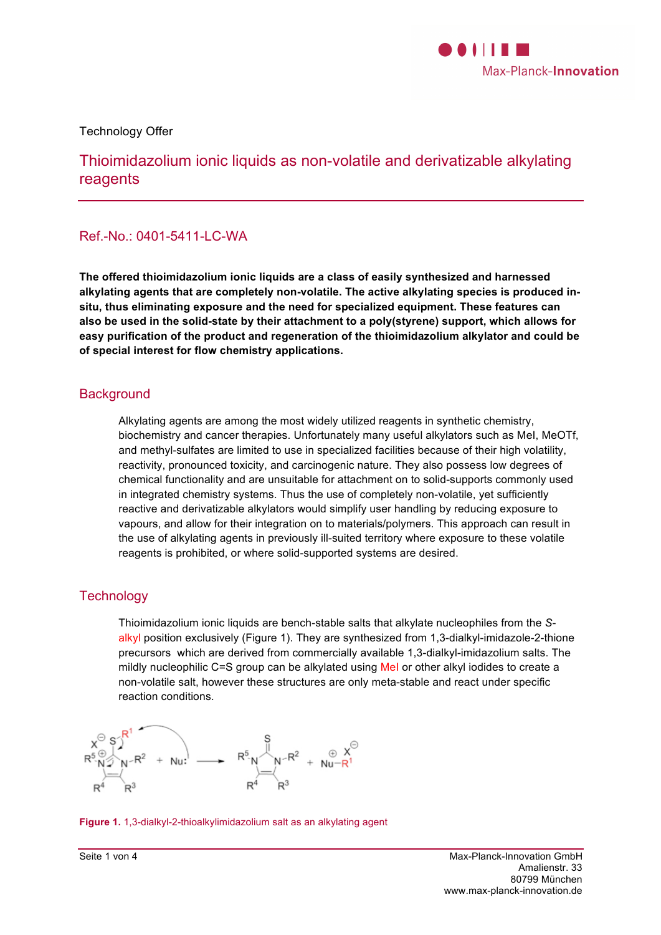

Technology Offer

Thioimidazolium ionic liquids as non-volatile and derivatizable alkylating reagents

# Ref.-No.: 0401-5411-LC-WA

**The offered thioimidazolium ionic liquids are a class of easily synthesized and harnessed alkylating agents that are completely non-volatile. The active alkylating species is produced insitu, thus eliminating exposure and the need for specialized equipment. These features can also be used in the solid-state by their attachment to a poly(styrene) support, which allows for easy purification of the product and regeneration of the thioimidazolium alkylator and could be of special interest for flow chemistry applications.**

# **Background**

Alkylating agents are among the most widely utilized reagents in synthetic chemistry, biochemistry and cancer therapies. Unfortunately many useful alkylators such as MeI, MeOTf, and methyl-sulfates are limited to use in specialized facilities because of their high volatility, reactivity, pronounced toxicity, and carcinogenic nature. They also possess low degrees of chemical functionality and are unsuitable for attachment on to solid-supports commonly used in integrated chemistry systems. Thus the use of completely non-volatile, yet sufficiently reactive and derivatizable alkylators would simplify user handling by reducing exposure to vapours, and allow for their integration on to materials/polymers. This approach can result in the use of alkylating agents in previously ill-suited territory where exposure to these volatile reagents is prohibited, or where solid-supported systems are desired.

# **Technology**

Thioimidazolium ionic liquids are bench-stable salts that alkylate nucleophiles from the *S*alkyl position exclusively (Figure 1). They are synthesized from 1,3-dialkyl-imidazole-2-thione precursors which are derived from commercially available 1,3-dialkyl-imidazolium salts. The mildly nucleophilic C=S group can be alkylated using MeI or other alkyl iodides to create a non-volatile salt, however these structures are only meta-stable and react under specific reaction conditions.



**Figure 1.** 1,3-dialkyl-2-thioalkylimidazolium salt as an alkylating agent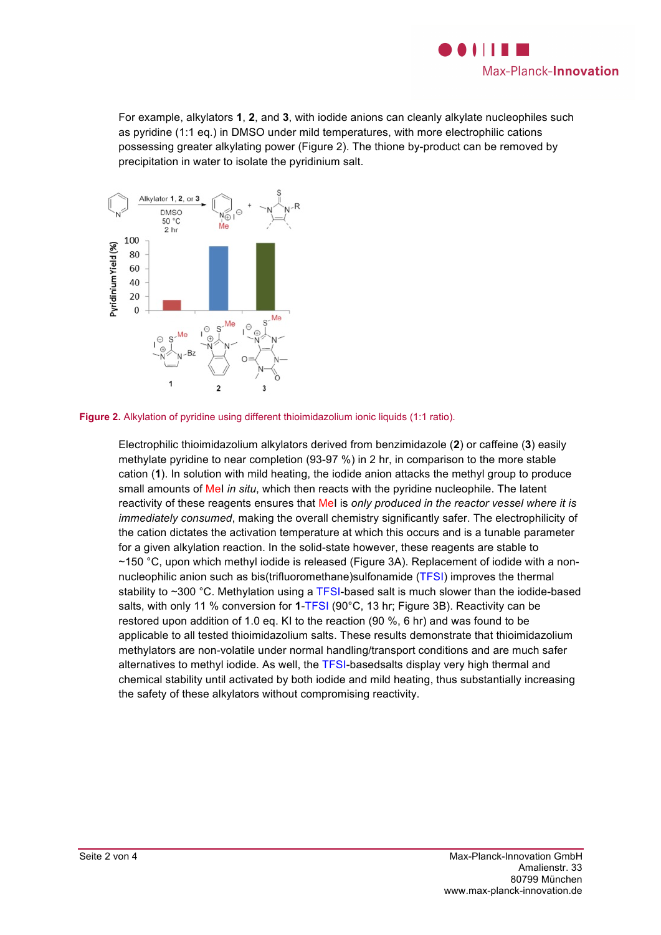

For example, alkylators **1**, **2**, and **3**, with iodide anions can cleanly alkylate nucleophiles such as pyridine (1:1 eq.) in DMSO under mild temperatures, with more electrophilic cations possessing greater alkylating power (Figure 2). The thione by-product can be removed by precipitation in water to isolate the pyridinium salt.





Electrophilic thioimidazolium alkylators derived from benzimidazole (**2**) or caffeine (**3**) easily methylate pyridine to near completion (93-97 %) in 2 hr, in comparison to the more stable cation (**1**). In solution with mild heating, the iodide anion attacks the methyl group to produce small amounts of MeI *in situ*, which then reacts with the pyridine nucleophile. The latent reactivity of these reagents ensures that MeI is *only produced in the reactor vessel where it is immediately consumed*, making the overall chemistry significantly safer. The electrophilicity of the cation dictates the activation temperature at which this occurs and is a tunable parameter for a given alkylation reaction. In the solid-state however, these reagents are stable to ~150 °C, upon which methyl iodide is released (Figure 3A). Replacement of iodide with a nonnucleophilic anion such as bis(trifluoromethane)sulfonamide (TFSI) improves the thermal stability to ~300 °C. Methylation using a TFSI-based salt is much slower than the iodide-based salts, with only 11 % conversion for **1**-TFSI (90°C, 13 hr; Figure 3B). Reactivity can be restored upon addition of 1.0 eq. KI to the reaction (90 %, 6 hr) and was found to be applicable to all tested thioimidazolium salts. These results demonstrate that thioimidazolium methylators are non-volatile under normal handling/transport conditions and are much safer alternatives to methyl iodide. As well, the TFSI-basedsalts display very high thermal and chemical stability until activated by both iodide and mild heating, thus substantially increasing the safety of these alkylators without compromising reactivity.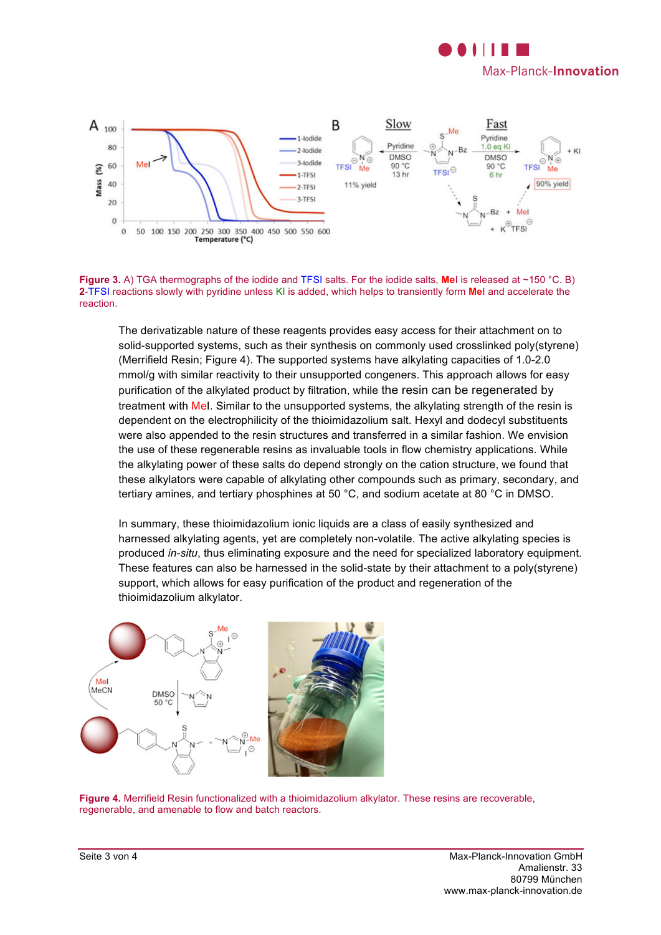



**Figure 3.** A) TGA thermographs of the iodide and TFSI salts. For the iodide salts, **Me**I is released at ~150 °C. B) **2**-TFSI reactions slowly with pyridine unless KI is added, which helps to transiently form **Me**I and accelerate the reaction.

The derivatizable nature of these reagents provides easy access for their attachment on to solid-supported systems, such as their synthesis on commonly used crosslinked poly(styrene) (Merrifield Resin; Figure 4). The supported systems have alkylating capacities of 1.0-2.0 mmol/g with similar reactivity to their unsupported congeners. This approach allows for easy purification of the alkylated product by filtration, while the resin can be regenerated by treatment with MeI. Similar to the unsupported systems, the alkylating strength of the resin is dependent on the electrophilicity of the thioimidazolium salt. Hexyl and dodecyl substituents were also appended to the resin structures and transferred in a similar fashion. We envision the use of these regenerable resins as invaluable tools in flow chemistry applications. While the alkylating power of these salts do depend strongly on the cation structure, we found that these alkylators were capable of alkylating other compounds such as primary, secondary, and tertiary amines, and tertiary phosphines at 50 °C, and sodium acetate at 80 °C in DMSO.

In summary, these thioimidazolium ionic liquids are a class of easily synthesized and harnessed alkylating agents, yet are completely non-volatile. The active alkylating species is produced *in-situ*, thus eliminating exposure and the need for specialized laboratory equipment. These features can also be harnessed in the solid-state by their attachment to a poly(styrene) support, which allows for easy purification of the product and regeneration of the thioimidazolium alkylator.



**Figure 4.** Merrifield Resin functionalized with a thioimidazolium alkylator. These resins are recoverable, regenerable, and amenable to flow and batch reactors.